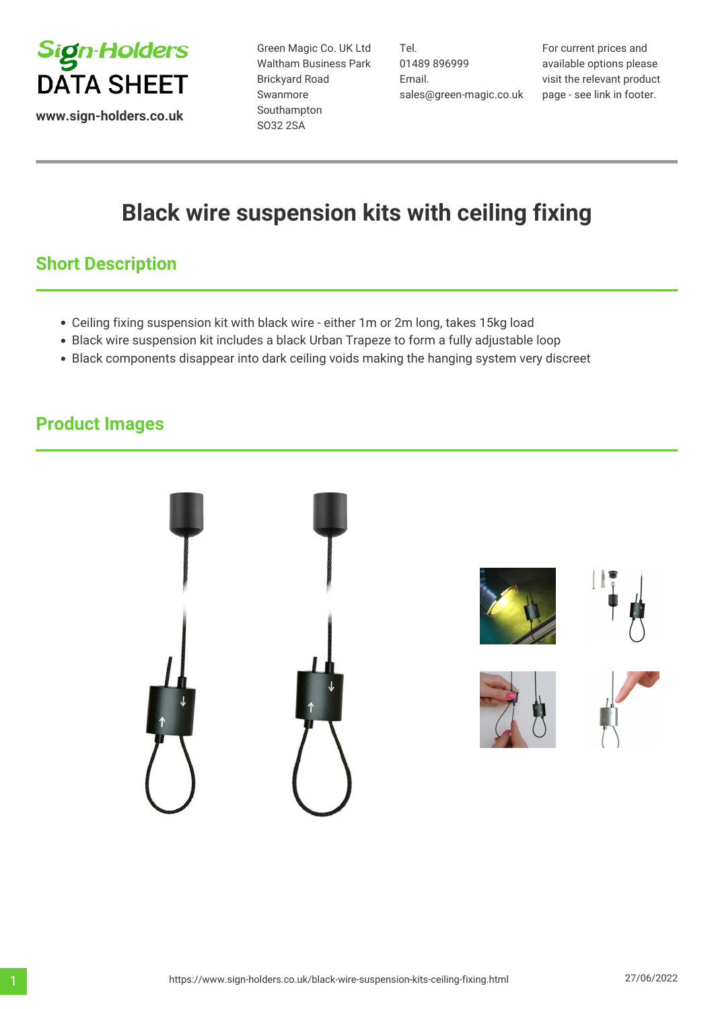

**www.sign-holders.co.uk**

Green Magic Co. UK Ltd Waltham Business Park Brickyard Road Swanmore Southampton SO32 2SA

Tel. 01489 896999 Email. sales@green-magic.co.uk

For current prices and available options please visit the relevant product page - see link in footer.

# **Black wire suspension kits with ceiling fixing**

# **Short Description**

- Ceiling fixing suspension kit with black wire either 1m or 2m long, takes 15kg load
- Black wire suspension kit includes a black Urban Trapeze to form a fully adjustable loop
- Black components disappear into dark ceiling voids making the hanging system very discreet

## **Product Images**

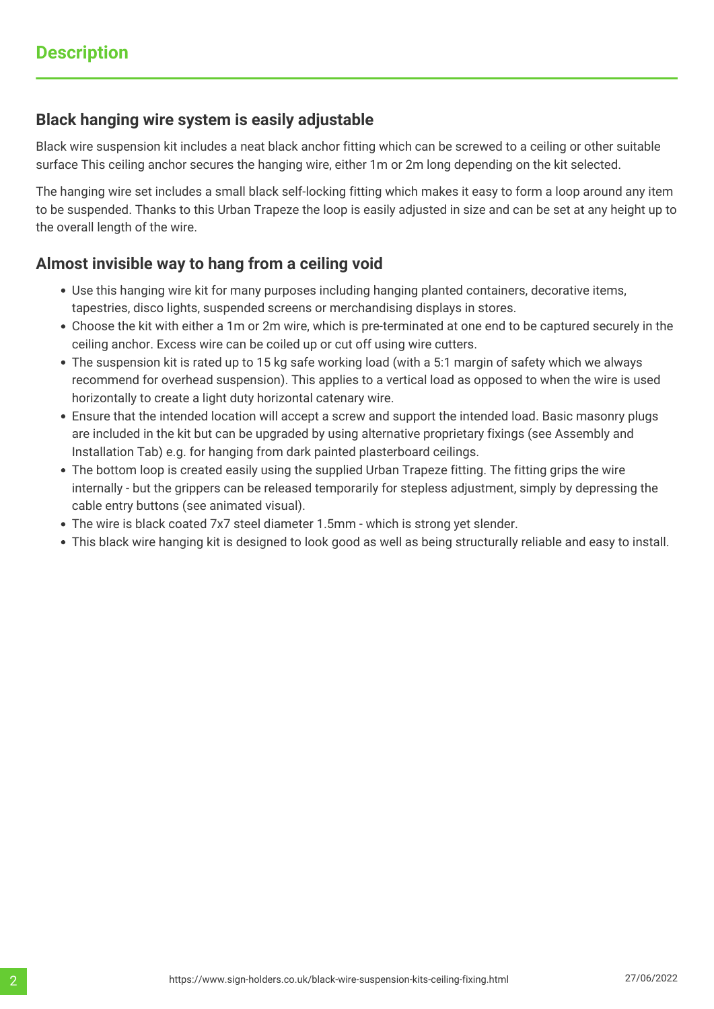### **Black hanging wire system is easily adjustable**

Black wire suspension kit includes a neat black anchor fitting which can be screwed to a ceiling or other suitable surface This ceiling anchor secures the hanging wire, either 1m or 2m long depending on the kit selected.

The hanging wire set includes a small black self-locking fitting which makes it easy to form a loop around any item to be suspended. Thanks to this Urban Trapeze the loop is easily adjusted in size and can be set at any height up to the overall length of the wire.

### **Almost invisible way to hang from a ceiling void**

- Use this hanging wire kit for many purposes including hanging planted containers, decorative items, tapestries, disco lights, suspended screens or merchandising displays in stores.
- Choose the kit with either a 1m or 2m wire, which is pre-terminated at one end to be captured securely in the ceiling anchor. Excess wire can be coiled up or cut off using wire cutters.
- The suspension kit is rated up to 15 kg safe working load (with a 5:1 margin of safety which we always recommend for overhead suspension). This applies to a vertical load as opposed to when the wire is used horizontally to create a light duty horizontal catenary wire.
- Ensure that the intended location will accept a screw and support the intended load. Basic masonry plugs are included in the kit but can be upgraded by using alternative proprietary fixings (see Assembly and Installation Tab) e.g. for hanging from dark painted plasterboard ceilings.
- The bottom loop is created easily using the supplied Urban Trapeze fitting. The fitting grips the wire internally - but the grippers can be released temporarily for stepless adjustment, simply by depressing the cable entry buttons (see animated visual).
- The wire is black coated 7x7 steel diameter 1.5mm which is strong yet slender.
- This black wire hanging kit is designed to look good as well as being structurally reliable and easy to install.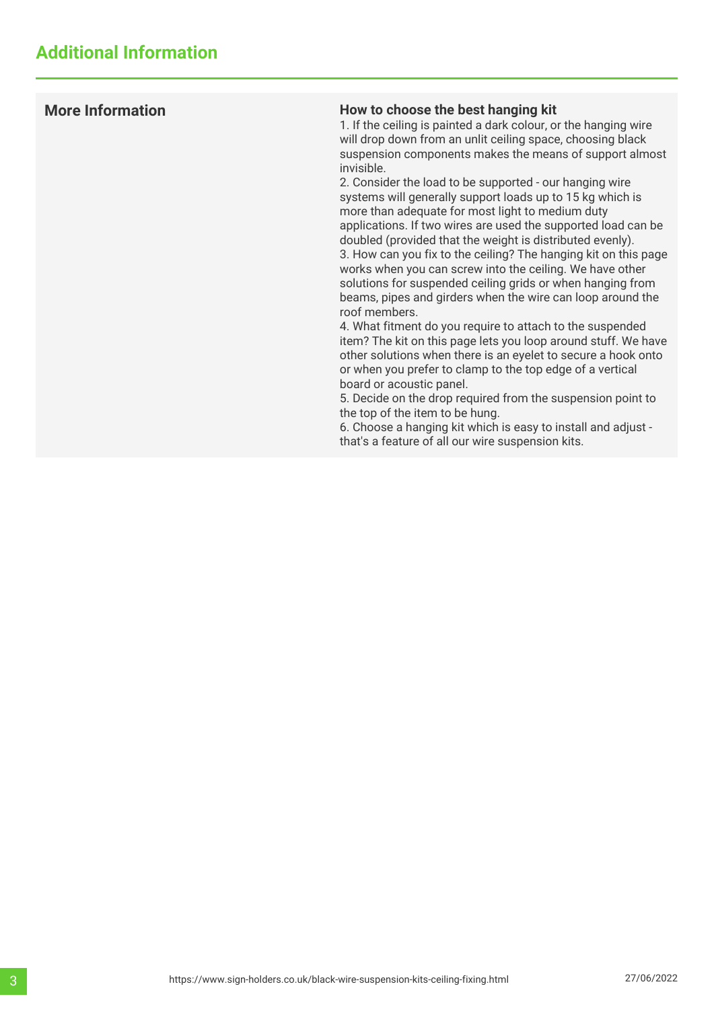### **More Information How to choose the best hanging kit**

1. If the ceiling is painted a dark colour, or the hanging wire will drop down from an unlit ceiling space, choosing black suspension components makes the means of support almost invisible.

2. Consider the load to be supported - our hanging wire systems will generally support loads up to 15 kg which is more than adequate for most light to medium duty applications. If two wires are used the supported load can be doubled (provided that the weight is distributed evenly). 3. How can you fix to the ceiling? The hanging kit on this page works when you can screw into the ceiling. We have other solutions for suspended ceiling grids or when hanging from beams, pipes and girders when the wire can loop around the roof members.

4. What fitment do you require to attach to the suspended item? The kit on this page lets you loop around stuff. We have other solutions when there is an eyelet to secure a hook onto or when you prefer to clamp to the top edge of a vertical board or acoustic panel.

5. Decide on the drop required from the suspension point to the top of the item to be hung.

6. Choose a hanging kit which is easy to install and adjust that's a feature of all our wire suspension kits.